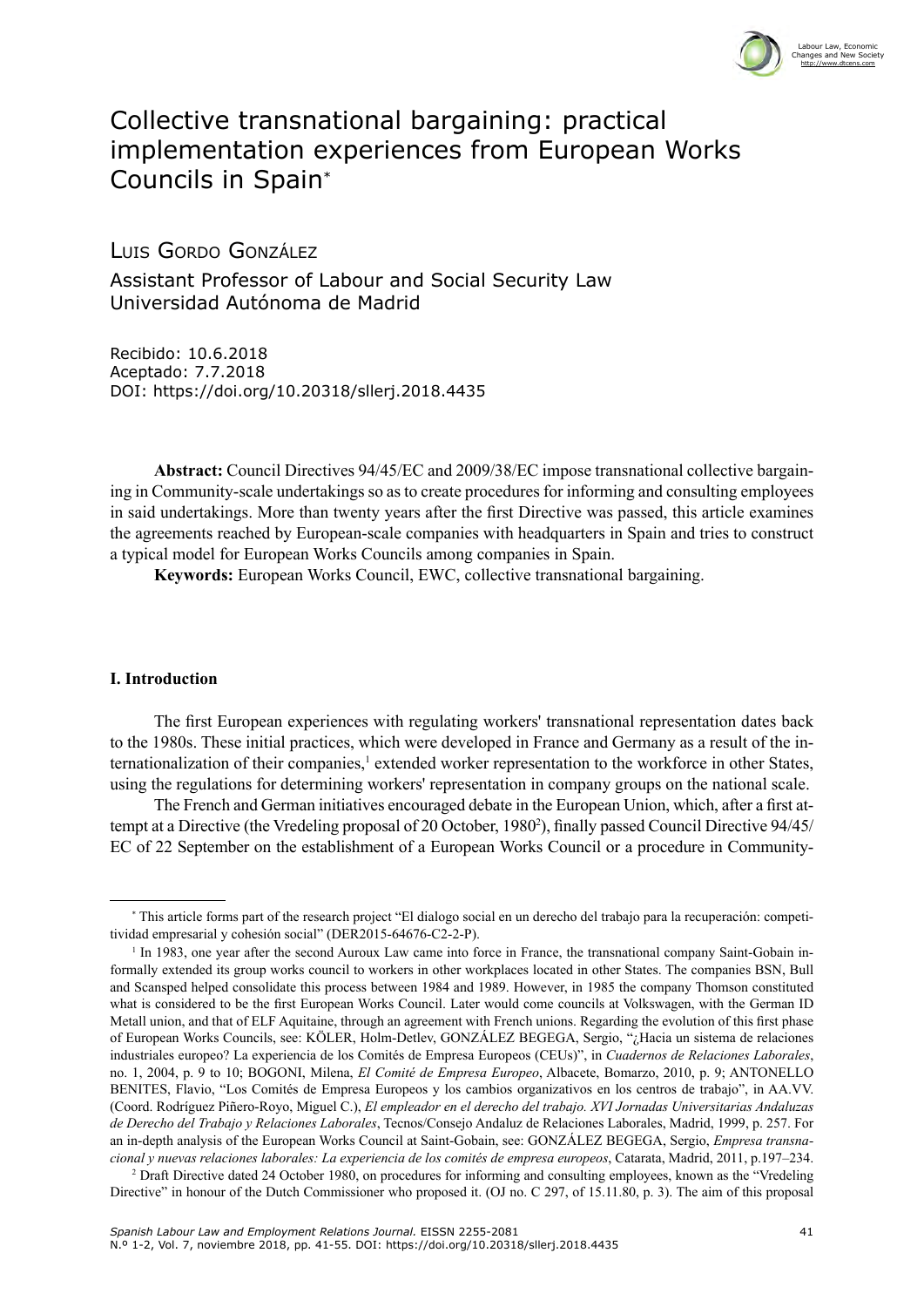

# Collective transnational bargaining: practical implementation experiences from European Works Councils in Spain\*

Luis Gordo González

Assistant Professor of Labour and Social Security Law Universidad Autónoma de Madrid

Recibido: 10.6.2018 Aceptado: 7.7.2018 DOI: <https://doi.org/10.20318/sllerj.2018.4435>

**Abstract:** Council Directives 94/45/EC and 2009/38/EC impose transnational collective bargaining in Community-scale undertakings so as to create procedures for informing and consulting employees in said undertakings. More than twenty years after the first Directive was passed, this article examines the agreements reached by European-scale companies with headquarters in Spain and tries to construct a typical model for European Works Councils among companies in Spain.

**Keywords:** European Works Council, EWC, collective transnational bargaining.

### **I. Introduction**

The first European experiences with regulating workers' transnational representation dates back to the 1980s. These initial practices, which were developed in France and Germany as a result of the internationalization of their companies,<sup>1</sup> extended worker representation to the workforce in other States, using the regulations for determining workers' representation in company groups on the national scale.

The French and German initiatives encouraged debate in the European Union, which, after a first attempt at a Directive (the Vredeling proposal of 20 October, 1980<sup>2</sup>), finally passed Council Directive 94/45/ EC of 22 September on the establishment of a European Works Council or a procedure in Community-

<sup>\*</sup> This article forms part of the research project "El dialogo social en un derecho del trabajo para la recuperación: competitividad empresarial y cohesión social" (DER2015-64676-C2-2-P).

<sup>&</sup>lt;sup>1</sup> In 1983, one year after the second Auroux Law came into force in France, the transnational company Saint-Gobain informally extended its group works council to workers in other workplaces located in other States. The companies BSN, Bull and Scansped helped consolidate this process between 1984 and 1989. However, in 1985 the company Thomson constituted what is considered to be the first European Works Council. Later would come councils at Volkswagen, with the German ID Metall union, and that of ELF Aquitaine, through an agreement with French unions. Regarding the evolution of this first phase of European Works Councils, see: KÖLER, Holm-Detlev, GONZÁLEZ BEGEGA, Sergio, "¿Hacia un sistema de relaciones industriales europeo? La experiencia de los Comités de Empresa Europeos (CEUs)", in *Cuadernos de Relaciones Laborales*, no. 1, 2004, p. 9 to 10; BOGONI, Milena, *El Comité de Empresa Europeo*, Albacete, Bomarzo, 2010, p. 9; ANTONELLO BENITES, Flavio, "Los Comités de Empresa Europeos y los cambios organizativos en los centros de trabajo", in AA.VV. (Coord. Rodríguez Piñero-Royo, Miguel C.), *El empleador en el derecho del trabajo. XVI Jornadas Universitarias Andaluzas de Derecho del Trabajo y Relaciones Laborales*, Tecnos/Consejo Andaluz de Relaciones Laborales, Madrid, 1999, p. 257. For an in-depth analysis of the European Works Council at Saint-Gobain, see: GONZÁLEZ BEGEGA, Sergio, *Empresa transnacional y nuevas relaciones laborales: La experiencia de los comités de empresa europeos*, Catarata, Madrid, 2011, p.197–234.

<sup>2</sup> Draft Directive dated 24 October 1980, on procedures for informing and consulting employees, known as the "Vredeling Directive" in honour of the Dutch Commissioner who proposed it. (OJ no. C 297, of 15.11.80, p. 3). The aim of this proposal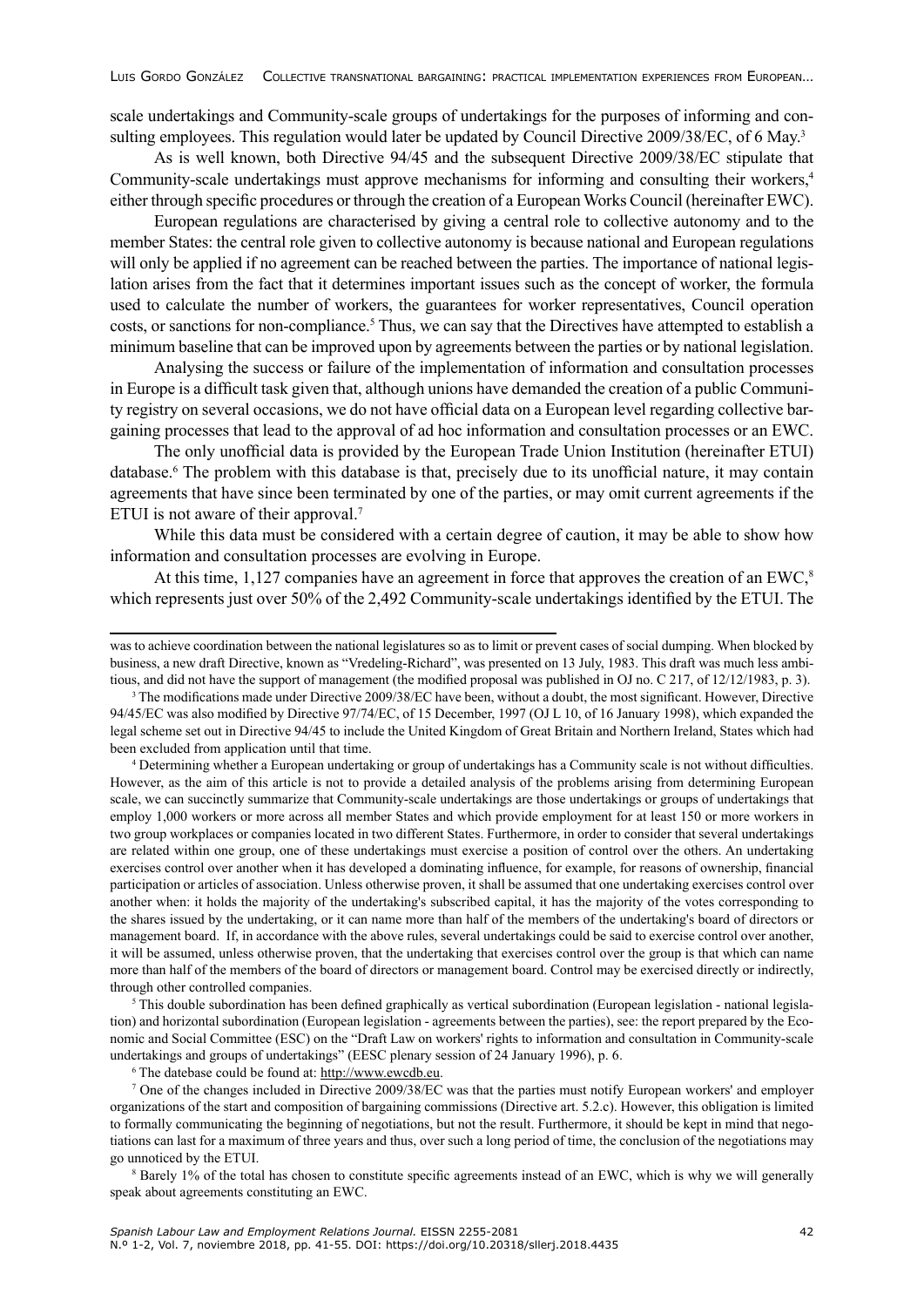scale undertakings and Community-scale groups of undertakings for the purposes of informing and consulting employees. This regulation would later be updated by Council Directive 2009/38/EC, of 6 May.<sup>3</sup>

As is well known, both Directive 94/45 and the subsequent Directive 2009/38/EC stipulate that Community-scale undertakings must approve mechanisms for informing and consulting their workers,<sup>4</sup> either through specific procedures or through the creation of a European Works Council (hereinafter EWC).

European regulations are characterised by giving a central role to collective autonomy and to the member States: the central role given to collective autonomy is because national and European regulations will only be applied if no agreement can be reached between the parties. The importance of national legislation arises from the fact that it determines important issues such as the concept of worker, the formula used to calculate the number of workers, the guarantees for worker representatives, Council operation costs, or sanctions for non-compliance.<sup>5</sup> Thus, we can say that the Directives have attempted to establish a minimum baseline that can be improved upon by agreements between the parties or by national legislation.

Analysing the success or failure of the implementation of information and consultation processes in Europe is a difficult task given that, although unions have demanded the creation of a public Community registry on several occasions, we do not have official data on a European level regarding collective bargaining processes that lead to the approval of ad hoc information and consultation processes or an EWC.

The only unofficial data is provided by the European Trade Union Institution (hereinafter ETUI) database.<sup>6</sup> The problem with this database is that, precisely due to its unofficial nature, it may contain agreements that have since been terminated by one of the parties, or may omit current agreements if the ETUI is not aware of their approval.<sup>7</sup>

While this data must be considered with a certain degree of caution, it may be able to show how information and consultation processes are evolving in Europe.

At this time,  $1,127$  companies have an agreement in force that approves the creation of an EWC, $^8$ which represents just over 50% of the 2,492 Community-scale undertakings identified by the ETUI. The

<sup>4</sup> Determining whether a European undertaking or group of undertakings has a Community scale is not without difficulties. However, as the aim of this article is not to provide a detailed analysis of the problems arising from determining European scale, we can succinctly summarize that Community-scale undertakings are those undertakings or groups of undertakings that employ 1,000 workers or more across all member States and which provide employment for at least 150 or more workers in two group workplaces or companies located in two different States. Furthermore, in order to consider that several undertakings are related within one group, one of these undertakings must exercise a position of control over the others. An undertaking exercises control over another when it has developed a dominating influence, for example, for reasons of ownership, financial participation or articles of association. Unless otherwise proven, it shall be assumed that one undertaking exercises control over another when: it holds the majority of the undertaking's subscribed capital, it has the majority of the votes corresponding to the shares issued by the undertaking, or it can name more than half of the members of the undertaking's board of directors or management board. If, in accordance with the above rules, several undertakings could be said to exercise control over another, it will be assumed, unless otherwise proven, that the undertaking that exercises control over the group is that which can name more than half of the members of the board of directors or management board. Control may be exercised directly or indirectly, through other controlled companies.<br><sup>5</sup> This double subordination has been defined graphically as vertical subordination (European legislation - national legisla-

tion) and horizontal subordination (European legislation - agreements between the parties), see: the report prepared by the Economic and Social Committee (ESC) on the "Draft Law on workers' rights to information and consultation in Community-scale undertakings and groups of undertakings" (EESC plenary session of 24 January 1996), p. 6.

<sup>6</sup> The datebase could be found at: <http://www.ewcdb.eu>.

<sup>7</sup> One of the changes included in Directive 2009/38/EC was that the parties must notify European workers' and employer organizations of the start and composition of bargaining commissions (Directive art. 5.2.c). However, this obligation is limited to formally communicating the beginning of negotiations, but not the result. Furthermore, it should be kept in mind that negotiations can last for a maximum of three years and thus, over such a long period of time, the conclusion of the negotiations may go unnoticed by the ETUI.

<sup>8</sup> Barely 1% of the total has chosen to constitute specific agreements instead of an EWC, which is why we will generally speak about agreements constituting an EWC.

was to achieve coordination between the national legislatures so as to limit or prevent cases of social dumping. When blocked by business, a new draft Directive, known as "Vredeling-Richard", was presented on 13 July, 1983. This draft was much less ambitious, and did not have the support of management (the modified proposal was published in OJ no. C 217, of 12/12/1983, p. 3).

<sup>&</sup>lt;sup>3</sup> The modifications made under Directive 2009/38/EC have been, without a doubt, the most significant. However, Directive 94/45/EC was also modified by Directive 97/74/EC, of 15 December, 1997 (OJ L 10, of 16 January 1998), which expanded the legal scheme set out in Directive 94/45 to include the United Kingdom of Great Britain and Northern Ireland, States which had been excluded from application until that time.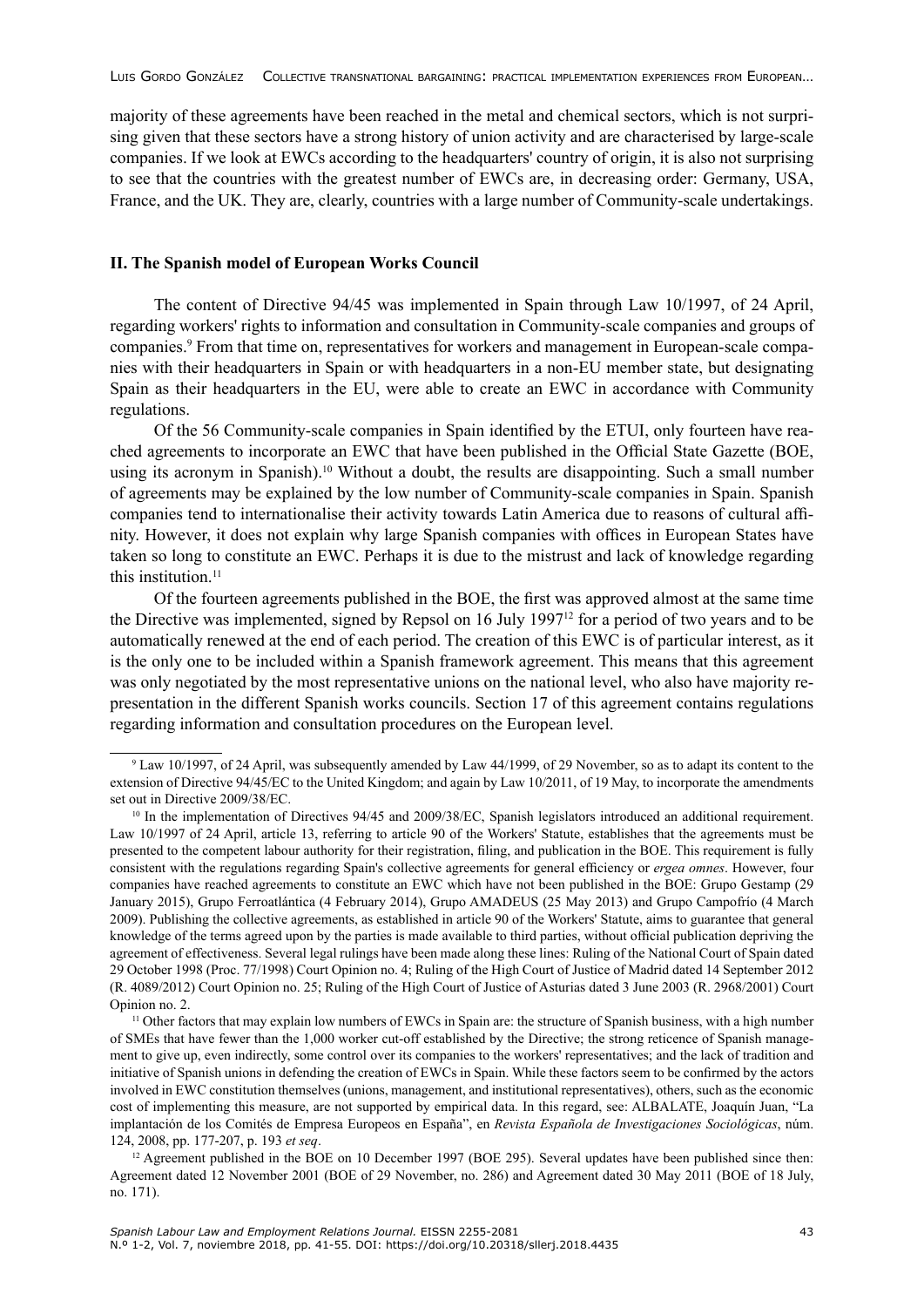majority of these agreements have been reached in the metal and chemical sectors, which is not surprising given that these sectors have a strong history of union activity and are characterised by large-scale companies. If we look at EWCs according to the headquarters' country of origin, it is also not surprising to see that the countries with the greatest number of EWCs are, in decreasing order: Germany, USA, France, and the UK. They are, clearly, countries with a large number of Community-scale undertakings.

## **II. The Spanish model of European Works Council**

The content of Directive 94/45 was implemented in Spain through Law 10/1997, of 24 April, regarding workers' rights to information and consultation in Community-scale companies and groups of companies.<sup>9</sup> From that time on, representatives for workers and management in European-scale companies with their headquarters in Spain or with headquarters in a non-EU member state, but designating Spain as their headquarters in the EU, were able to create an EWC in accordance with Community regulations.

Of the 56 Community-scale companies in Spain identified by the ETUI, only fourteen have reached agreements to incorporate an EWC that have been published in the Official State Gazette (BOE, using its acronym in Spanish).10 Without a doubt, the results are disappointing. Such a small number of agreements may be explained by the low number of Community-scale companies in Spain. Spanish companies tend to internationalise their activity towards Latin America due to reasons of cultural affinity. However, it does not explain why large Spanish companies with offices in European States have taken so long to constitute an EWC. Perhaps it is due to the mistrust and lack of knowledge regarding this institution.<sup>11</sup>

Of the fourteen agreements published in the BOE, the first was approved almost at the same time the Directive was implemented, signed by Repsol on 16 July 199712 for a period of two years and to be automatically renewed at the end of each period. The creation of this EWC is of particular interest, as it is the only one to be included within a Spanish framework agreement. This means that this agreement was only negotiated by the most representative unions on the national level, who also have majority representation in the different Spanish works councils. Section 17 of this agreement contains regulations regarding information and consultation procedures on the European level.

 $9$  Law 10/1997, of 24 April, was subsequently amended by Law 44/1999, of 29 November, so as to adapt its content to the extension of Directive 94/45/EC to the United Kingdom; and again by Law 10/2011, of 19 May, to incorporate the amendments set out in Directive 2009/38/EC.

<sup>&</sup>lt;sup>10</sup> In the implementation of Directives 94/45 and 2009/38/EC, Spanish legislators introduced an additional requirement. Law 10/1997 of 24 April, article 13, referring to article 90 of the Workers' Statute, establishes that the agreements must be presented to the competent labour authority for their registration, filing, and publication in the BOE. This requirement is fully consistent with the regulations regarding Spain's collective agreements for general efficiency or *ergea omnes*. However, four companies have reached agreements to constitute an EWC which have not been published in the BOE: Grupo Gestamp (29 January 2015), Grupo Ferroatlántica (4 February 2014), Grupo AMADEUS (25 May 2013) and Grupo Campofrío (4 March 2009). Publishing the collective agreements, as established in article 90 of the Workers' Statute, aims to guarantee that general knowledge of the terms agreed upon by the parties is made available to third parties, without official publication depriving the agreement of effectiveness. Several legal rulings have been made along these lines: Ruling of the National Court of Spain dated 29 October 1998 (Proc. 77/1998) Court Opinion no. 4; Ruling of the High Court of Justice of Madrid dated 14 September 2012 (R. 4089/2012) Court Opinion no. 25; Ruling of the High Court of Justice of Asturias dated 3 June 2003 (R. 2968/2001) Court Opinion no. 2.

<sup>&</sup>lt;sup>11</sup> Other factors that may explain low numbers of EWCs in Spain are: the structure of Spanish business, with a high number of SMEs that have fewer than the 1,000 worker cut-off established by the Directive; the strong reticence of Spanish management to give up, even indirectly, some control over its companies to the workers' representatives; and the lack of tradition and initiative of Spanish unions in defending the creation of EWCs in Spain. While these factors seem to be confirmed by the actors involved in EWC constitution themselves (unions, management, and institutional representatives), others, such as the economic cost of implementing this measure, are not supported by empirical data. In this regard, see: ALBALATE, Joaquín Juan, "La implantación de los Comités de Empresa Europeos en España", en *Revista Española de Investigaciones Sociológicas*, núm. 124, 2008, pp. 177-207, p. 193 *et seq*.

 $12$  Agreement published in the BOE on 10 December 1997 (BOE 295). Several updates have been published since then: Agreement dated 12 November 2001 (BOE of 29 November, no. 286) and Agreement dated 30 May 2011 (BOE of 18 July, no. 171).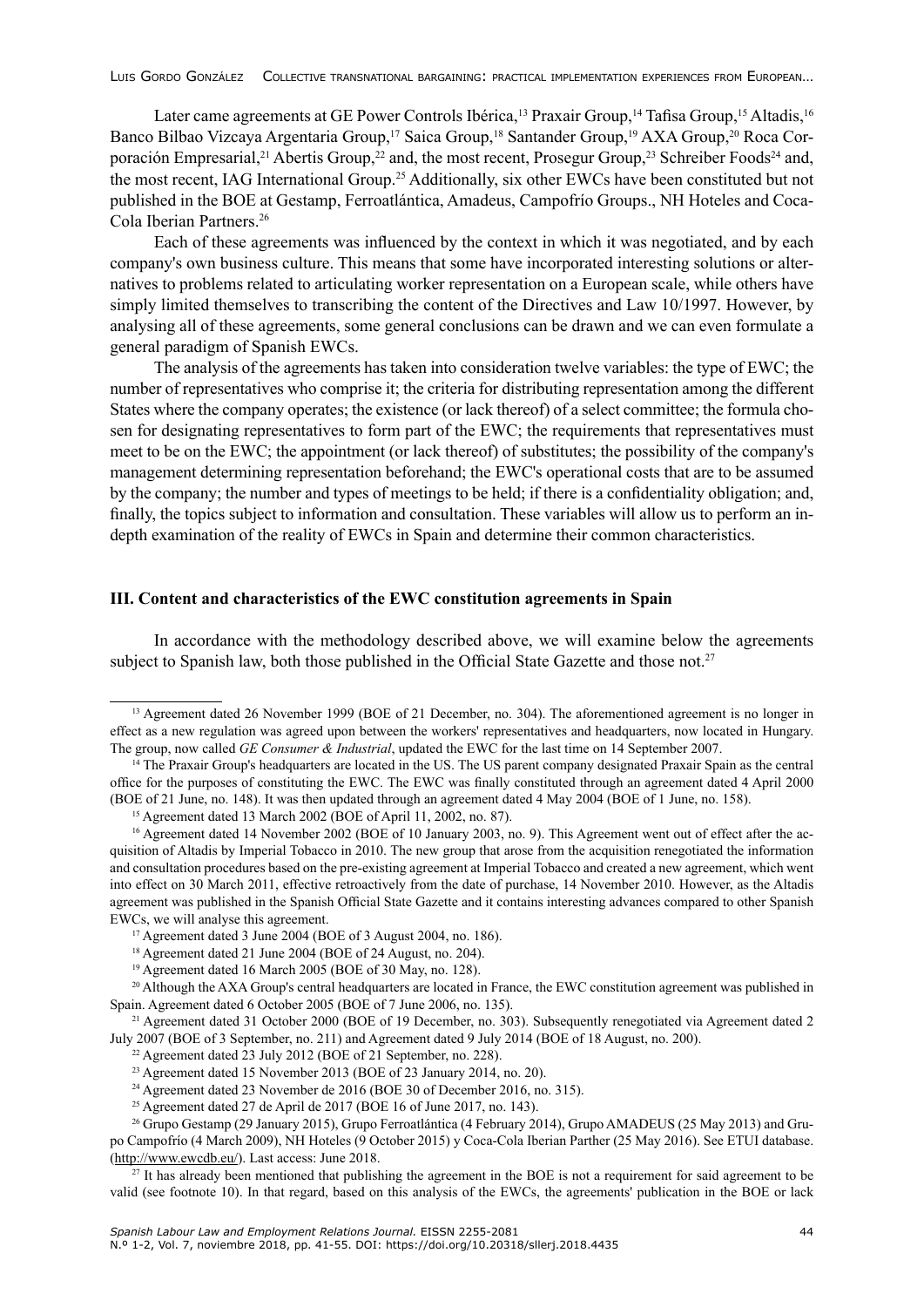Later came agreements at GE Power Controls Ibérica,<sup>13</sup> Praxair Group,<sup>14</sup> Tafisa Group,<sup>15</sup> Altadis,<sup>16</sup> Banco Bilbao Vizcaya Argentaria Group,<sup>17</sup> Saica Group,<sup>18</sup> Santander Group,<sup>19</sup> AXA Group,<sup>20</sup> Roca Corporación Empresarial,<sup>21</sup> Abertis Group,<sup>22</sup> and, the most recent, Prosegur Group,<sup>23</sup> Schreiber Foods<sup>24</sup> and, the most recent, IAG International Group.<sup>25</sup> Additionally, six other EWCs have been constituted but not published in the BOE at Gestamp, Ferroatlántica, Amadeus, Campofrío Groups., NH Hoteles and Coca-Cola Iberian Partners.26

Each of these agreements was influenced by the context in which it was negotiated, and by each company's own business culture. This means that some have incorporated interesting solutions or alternatives to problems related to articulating worker representation on a European scale, while others have simply limited themselves to transcribing the content of the Directives and Law 10/1997. However, by analysing all of these agreements, some general conclusions can be drawn and we can even formulate a general paradigm of Spanish EWCs.

The analysis of the agreements has taken into consideration twelve variables: the type of EWC; the number of representatives who comprise it; the criteria for distributing representation among the different States where the company operates; the existence (or lack thereof) of a select committee; the formula chosen for designating representatives to form part of the EWC; the requirements that representatives must meet to be on the EWC; the appointment (or lack thereof) of substitutes; the possibility of the company's management determining representation beforehand; the EWC's operational costs that are to be assumed by the company; the number and types of meetings to be held; if there is a confidentiality obligation; and, finally, the topics subject to information and consultation. These variables will allow us to perform an indepth examination of the reality of EWCs in Spain and determine their common characteristics.

## **III. Content and characteristics of the EWC constitution agreements in Spain**

In accordance with the methodology described above, we will examine below the agreements subject to Spanish law, both those published in the Official State Gazette and those not.<sup>27</sup>

<sup>25</sup> Agreement dated 27 de April de 2017 (BOE 16 of June 2017, no. 143).

<sup>&</sup>lt;sup>13</sup> Agreement dated 26 November 1999 (BOE of 21 December, no. 304). The aforementioned agreement is no longer in effect as a new regulation was agreed upon between the workers' representatives and headquarters, now located in Hungary. The group, now called *GE Consumer & Industrial*, updated the EWC for the last time on 14 September 2007.

<sup>14</sup> The Praxair Group's headquarters are located in the US. The US parent company designated Praxair Spain as the central office for the purposes of constituting the EWC. The EWC was finally constituted through an agreement dated 4 April 2000 (BOE of 21 June, no. 148). It was then updated through an agreement dated 4 May 2004 (BOE of 1 June, no. 158).

<sup>15</sup> Agreement dated 13 March 2002 (BOE of April 11, 2002, no. 87).

<sup>&</sup>lt;sup>16</sup> Agreement dated 14 November 2002 (BOE of 10 January 2003, no. 9). This Agreement went out of effect after the acquisition of Altadis by Imperial Tobacco in 2010. The new group that arose from the acquisition renegotiated the information and consultation procedures based on the pre-existing agreement at Imperial Tobacco and created a new agreement, which went into effect on 30 March 2011, effective retroactively from the date of purchase, 14 November 2010. However, as the Altadis agreement was published in the Spanish Official State Gazette and it contains interesting advances compared to other Spanish EWCs, we will analyse this agreement.

<sup>17</sup> Agreement dated 3 June 2004 (BOE of 3 August 2004, no. 186).

<sup>18</sup> Agreement dated 21 June 2004 (BOE of 24 August, no. 204).

<sup>19</sup> Agreement dated 16 March 2005 (BOE of 30 May, no. 128).

<sup>&</sup>lt;sup>20</sup> Although the AXA Group's central headquarters are located in France, the EWC constitution agreement was published in Spain. Agreement dated 6 October 2005 (BOE of 7 June 2006, no. 135).

<sup>&</sup>lt;sup>21</sup> Agreement dated 31 October 2000 (BOE of 19 December, no. 303). Subsequently renegotiated via Agreement dated 2 July 2007 (BOE of 3 September, no. 211) and Agreement dated 9 July 2014 (BOE of 18 August, no. 200).

<sup>&</sup>lt;sup>22</sup> Agreement dated  $\overline{23}$  July 2012 (BOE of 21 September, no. 228).

 $23$  Agreement dated 15 November 2013 (BOE of 23 January 2014, no. 20).

<sup>&</sup>lt;sup>24</sup> Agreement dated 23 November de 2016 (BOE 30 of December 2016, no. 315).

<sup>26</sup> Grupo Gestamp (29 January 2015), Grupo Ferroatlántica (4 February 2014), Grupo AMADEUS (25 May 2013) and Grupo Campofrío (4 March 2009), NH Hoteles (9 October 2015) y Coca-Cola Iberian Parther (25 May 2016). See ETUI database. (<http://www.ewcdb.eu/>). Last access: June 2018.

 $27$  It has already been mentioned that publishing the agreement in the BOE is not a requirement for said agreement to be valid (see footnote 10). In that regard, based on this analysis of the EWCs, the agreements' publication in the BOE or lack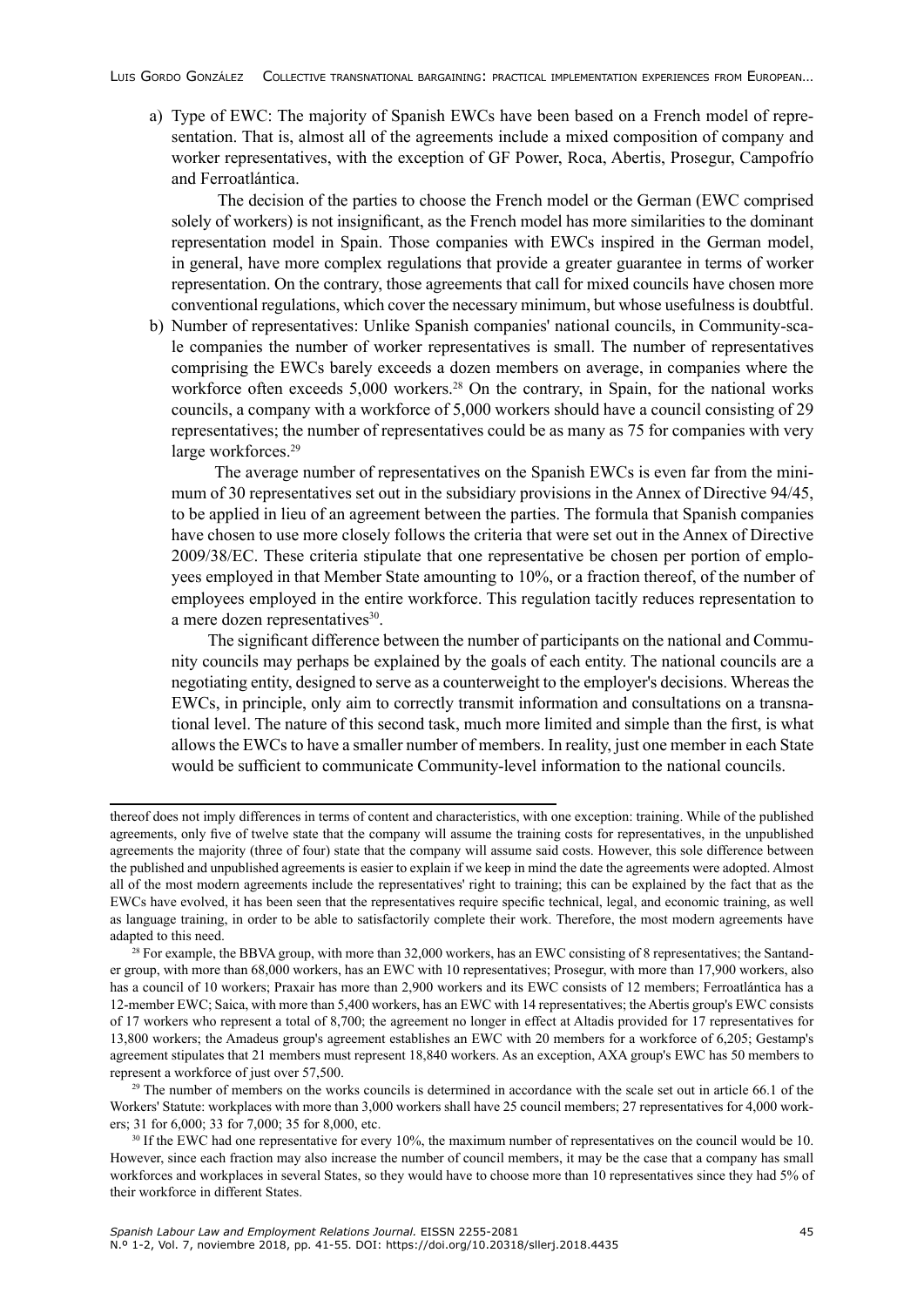a) Type of EWC: The majority of Spanish EWCs have been based on a French model of representation. That is, almost all of the agreements include a mixed composition of company and worker representatives, with the exception of GF Power, Roca, Abertis, Prosegur, Campofrío and Ferroatlántica.

 The decision of the parties to choose the French model or the German (EWC comprised solely of workers) is not insignificant, as the French model has more similarities to the dominant representation model in Spain. Those companies with EWCs inspired in the German model, in general, have more complex regulations that provide a greater guarantee in terms of worker representation. On the contrary, those agreements that call for mixed councils have chosen more conventional regulations, which cover the necessary minimum, but whose usefulness is doubtful.

b) Number of representatives: Unlike Spanish companies' national councils, in Community-scale companies the number of worker representatives is small. The number of representatives comprising the EWCs barely exceeds a dozen members on average, in companies where the workforce often exceeds 5,000 workers.<sup>28</sup> On the contrary, in Spain, for the national works councils, a company with a workforce of 5,000 workers should have a council consisting of 29 representatives; the number of representatives could be as many as 75 for companies with very large workforces.<sup>29</sup>

 The average number of representatives on the Spanish EWCs is even far from the minimum of 30 representatives set out in the subsidiary provisions in the Annex of Directive 94/45, to be applied in lieu of an agreement between the parties. The formula that Spanish companies have chosen to use more closely follows the criteria that were set out in the Annex of Directive 2009/38/EC. These criteria stipulate that one representative be chosen per portion of employees employed in that Member State amounting to 10%, or a fraction thereof, of the number of employees employed in the entire workforce. This regulation tacitly reduces representation to a mere dozen representatives $30$ .

 The significant difference between the number of participants on the national and Community councils may perhaps be explained by the goals of each entity. The national councils are a negotiating entity, designed to serve as a counterweight to the employer's decisions. Whereas the EWCs, in principle, only aim to correctly transmit information and consultations on a transnational level. The nature of this second task, much more limited and simple than the first, is what allows the EWCs to have a smaller number of members. In reality, just one member in each State would be sufficient to communicate Community-level information to the national councils.

<sup>29</sup> The number of members on the works councils is determined in accordance with the scale set out in article 66.1 of the Workers' Statute: workplaces with more than 3,000 workers shall have 25 council members; 27 representatives for 4,000 workers; 31 for 6,000; 33 for 7,000; 35 for 8,000, etc.

thereof does not imply differences in terms of content and characteristics, with one exception: training. While of the published agreements, only five of twelve state that the company will assume the training costs for representatives, in the unpublished agreements the majority (three of four) state that the company will assume said costs. However, this sole difference between the published and unpublished agreements is easier to explain if we keep in mind the date the agreements were adopted. Almost all of the most modern agreements include the representatives' right to training; this can be explained by the fact that as the EWCs have evolved, it has been seen that the representatives require specific technical, legal, and economic training, as well as language training, in order to be able to satisfactorily complete their work. Therefore, the most modern agreements have adapted to this need.

 $28$  For example, the BBVA group, with more than 32,000 workers, has an EWC consisting of 8 representatives; the Santander group, with more than 68,000 workers, has an EWC with 10 representatives; Prosegur, with more than 17,900 workers, also has a council of 10 workers; Praxair has more than 2,900 workers and its EWC consists of 12 members; Ferroatlántica has a 12-member EWC; Saica, with more than 5,400 workers, has an EWC with 14 representatives; the Abertis group's EWC consists of 17 workers who represent a total of 8,700; the agreement no longer in effect at Altadis provided for 17 representatives for 13,800 workers; the Amadeus group's agreement establishes an EWC with 20 members for a workforce of 6,205; Gestamp's agreement stipulates that 21 members must represent 18,840 workers. As an exception, AXA group's EWC has 50 members to represent a workforce of just over 57,500.

<sup>30</sup> If the EWC had one representative for every 10%, the maximum number of representatives on the council would be 10. However, since each fraction may also increase the number of council members, it may be the case that a company has small workforces and workplaces in several States, so they would have to choose more than 10 representatives since they had 5% of their workforce in different States.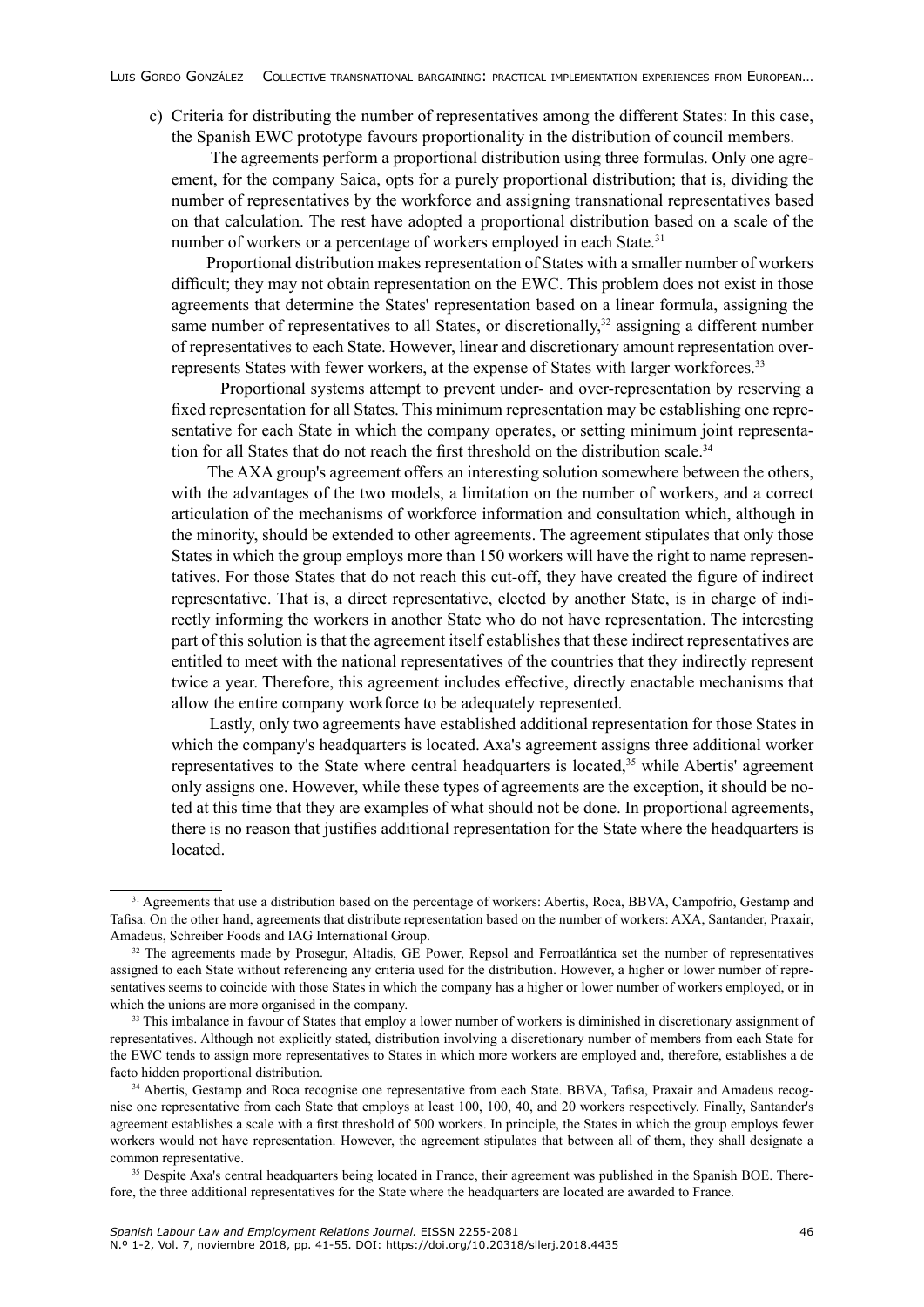c) Criteria for distributing the number of representatives among the different States: In this case, the Spanish EWC prototype favours proportionality in the distribution of council members.

 The agreements perform a proportional distribution using three formulas. Only one agreement, for the company Saica, opts for a purely proportional distribution; that is, dividing the number of representatives by the workforce and assigning transnational representatives based on that calculation. The rest have adopted a proportional distribution based on a scale of the number of workers or a percentage of workers employed in each State.<sup>31</sup>

 Proportional distribution makes representation of States with a smaller number of workers difficult; they may not obtain representation on the EWC. This problem does not exist in those agreements that determine the States' representation based on a linear formula, assigning the same number of representatives to all States, or discretionally,<sup>32</sup> assigning a different number of representatives to each State. However, linear and discretionary amount representation overrepresents States with fewer workers, at the expense of States with larger workforces.<sup>33</sup>

 Proportional systems attempt to prevent under- and over-representation by reserving a fixed representation for all States. This minimum representation may be establishing one representative for each State in which the company operates, or setting minimum joint representation for all States that do not reach the first threshold on the distribution scale.<sup>34</sup>

 The AXA group's agreement offers an interesting solution somewhere between the others, with the advantages of the two models, a limitation on the number of workers, and a correct articulation of the mechanisms of workforce information and consultation which, although in the minority, should be extended to other agreements. The agreement stipulates that only those States in which the group employs more than 150 workers will have the right to name representatives. For those States that do not reach this cut-off, they have created the figure of indirect representative. That is, a direct representative, elected by another State, is in charge of indirectly informing the workers in another State who do not have representation. The interesting part of this solution is that the agreement itself establishes that these indirect representatives are entitled to meet with the national representatives of the countries that they indirectly represent twice a year. Therefore, this agreement includes effective, directly enactable mechanisms that allow the entire company workforce to be adequately represented.

 Lastly, only two agreements have established additional representation for those States in which the company's headquarters is located. Axa's agreement assigns three additional worker representatives to the State where central headquarters is located,<sup>35</sup> while Abertis' agreement only assigns one. However, while these types of agreements are the exception, it should be noted at this time that they are examples of what should not be done. In proportional agreements, there is no reason that justifies additional representation for the State where the headquarters is located.

<sup>&</sup>lt;sup>31</sup> Agreements that use a distribution based on the percentage of workers: Abertis, Roca, BBVA, Campofrío, Gestamp and Tafisa. On the other hand, agreements that distribute representation based on the number of workers: AXA, Santander, Praxair, Amadeus, Schreiber Foods and IAG International Group.

<sup>&</sup>lt;sup>32</sup> The agreements made by Prosegur, Altadis, GE Power, Repsol and Ferroatlántica set the number of representatives assigned to each State without referencing any criteria used for the distribution. However, a higher or lower number of representatives seems to coincide with those States in which the company has a higher or lower number of workers employed, or in which the unions are more organised in the company.

<sup>&</sup>lt;sup>33</sup> This imbalance in favour of States that employ a lower number of workers is diminished in discretionary assignment of representatives. Although not explicitly stated, distribution involving a discretionary number of members from each State for the EWC tends to assign more representatives to States in which more workers are employed and, therefore, establishes a de facto hidden proportional distribution.

<sup>&</sup>lt;sup>34</sup> Abertis, Gestamp and Roca recognise one representative from each State. BBVA, Tafisa, Praxair and Amadeus recognise one representative from each State that employs at least 100, 100, 40, and 20 workers respectively. Finally, Santander's agreement establishes a scale with a first threshold of 500 workers. In principle, the States in which the group employs fewer workers would not have representation. However, the agreement stipulates that between all of them, they shall designate a common representative.

<sup>&</sup>lt;sup>35</sup> Despite Axa's central headquarters being located in France, their agreement was published in the Spanish BOE. Therefore, the three additional representatives for the State where the headquarters are located are awarded to France.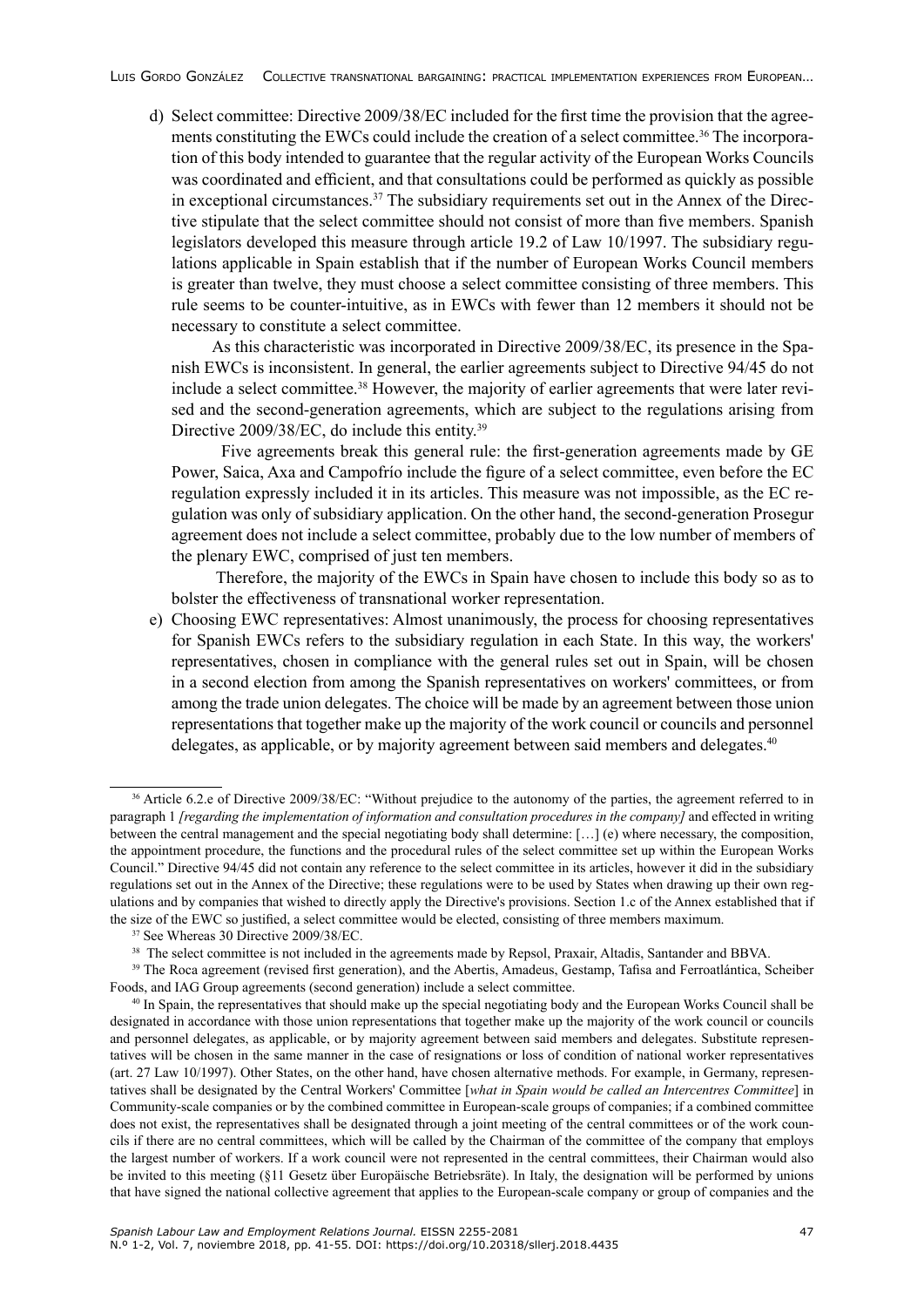d) Select committee: Directive 2009/38/EC included for the first time the provision that the agreements constituting the EWCs could include the creation of a select committee.36 The incorporation of this body intended to guarantee that the regular activity of the European Works Councils was coordinated and efficient, and that consultations could be performed as quickly as possible in exceptional circumstances.37 The subsidiary requirements set out in the Annex of the Directive stipulate that the select committee should not consist of more than five members. Spanish legislators developed this measure through article 19.2 of Law 10/1997. The subsidiary regulations applicable in Spain establish that if the number of European Works Council members is greater than twelve, they must choose a select committee consisting of three members. This rule seems to be counter-intuitive, as in EWCs with fewer than 12 members it should not be necessary to constitute a select committee.

 As this characteristic was incorporated in Directive 2009/38/EC, its presence in the Spanish EWCs is inconsistent. In general, the earlier agreements subject to Directive 94/45 do not include a select committee.<sup>38</sup> However, the majority of earlier agreements that were later revised and the second-generation agreements, which are subject to the regulations arising from Directive 2009/38/EC, do include this entity.<sup>39</sup>

 Five agreements break this general rule: the first-generation agreements made by GE Power, Saica, Axa and Campofrío include the figure of a select committee, even before the EC regulation expressly included it in its articles. This measure was not impossible, as the EC regulation was only of subsidiary application. On the other hand, the second-generation Prosegur agreement does not include a select committee, probably due to the low number of members of the plenary EWC, comprised of just ten members.

 Therefore, the majority of the EWCs in Spain have chosen to include this body so as to bolster the effectiveness of transnational worker representation.

e) Choosing EWC representatives: Almost unanimously, the process for choosing representatives for Spanish EWCs refers to the subsidiary regulation in each State. In this way, the workers' representatives, chosen in compliance with the general rules set out in Spain, will be chosen in a second election from among the Spanish representatives on workers' committees, or from among the trade union delegates. The choice will be made by an agreement between those union representations that together make up the majority of the work council or councils and personnel delegates, as applicable, or by majority agreement between said members and delegates.<sup>40</sup>

<sup>&</sup>lt;sup>36</sup> Article 6.2.e of Directive 2009/38/EC: "Without prejudice to the autonomy of the parties, the agreement referred to in paragraph 1 *[regarding the implementation of information and consultation procedures in the company]* and effected in writing between the central management and the special negotiating body shall determine: […] (e) where necessary, the composition, the appointment procedure, the functions and the procedural rules of the select committee set up within the European Works Council." Directive 94/45 did not contain any reference to the select committee in its articles, however it did in the subsidiary regulations set out in the Annex of the Directive; these regulations were to be used by States when drawing up their own regulations and by companies that wished to directly apply the Directive's provisions. Section 1.c of the Annex established that if the size of the EWC so justified, a select committee would be elected, consisting of three members maximum.

<sup>37</sup> See Whereas 30 Directive 2009/38/EC.

<sup>&</sup>lt;sup>38</sup> The select committee is not included in the agreements made by Repsol, Praxair, Altadis, Santander and BBVA.

<sup>&</sup>lt;sup>39</sup> The Roca agreement (revised first generation), and the Abertis, Amadeus, Gestamp, Tafisa and Ferroatlántica, Scheiber Foods, and IAG Group agreements (second generation) include a select committee.

<sup>40</sup> In Spain, the representatives that should make up the special negotiating body and the European Works Council shall be designated in accordance with those union representations that together make up the majority of the work council or councils and personnel delegates, as applicable, or by majority agreement between said members and delegates. Substitute representatives will be chosen in the same manner in the case of resignations or loss of condition of national worker representatives (art. 27 Law 10/1997). Other States, on the other hand, have chosen alternative methods. For example, in Germany, representatives shall be designated by the Central Workers' Committee [*what in Spain would be called an Intercentres Committee*] in Community-scale companies or by the combined committee in European-scale groups of companies; if a combined committee does not exist, the representatives shall be designated through a joint meeting of the central committees or of the work councils if there are no central committees, which will be called by the Chairman of the committee of the company that employs the largest number of workers. If a work council were not represented in the central committees, their Chairman would also be invited to this meeting (§11 Gesetz über Europäische Betriebsräte). In Italy, the designation will be performed by unions that have signed the national collective agreement that applies to the European-scale company or group of companies and the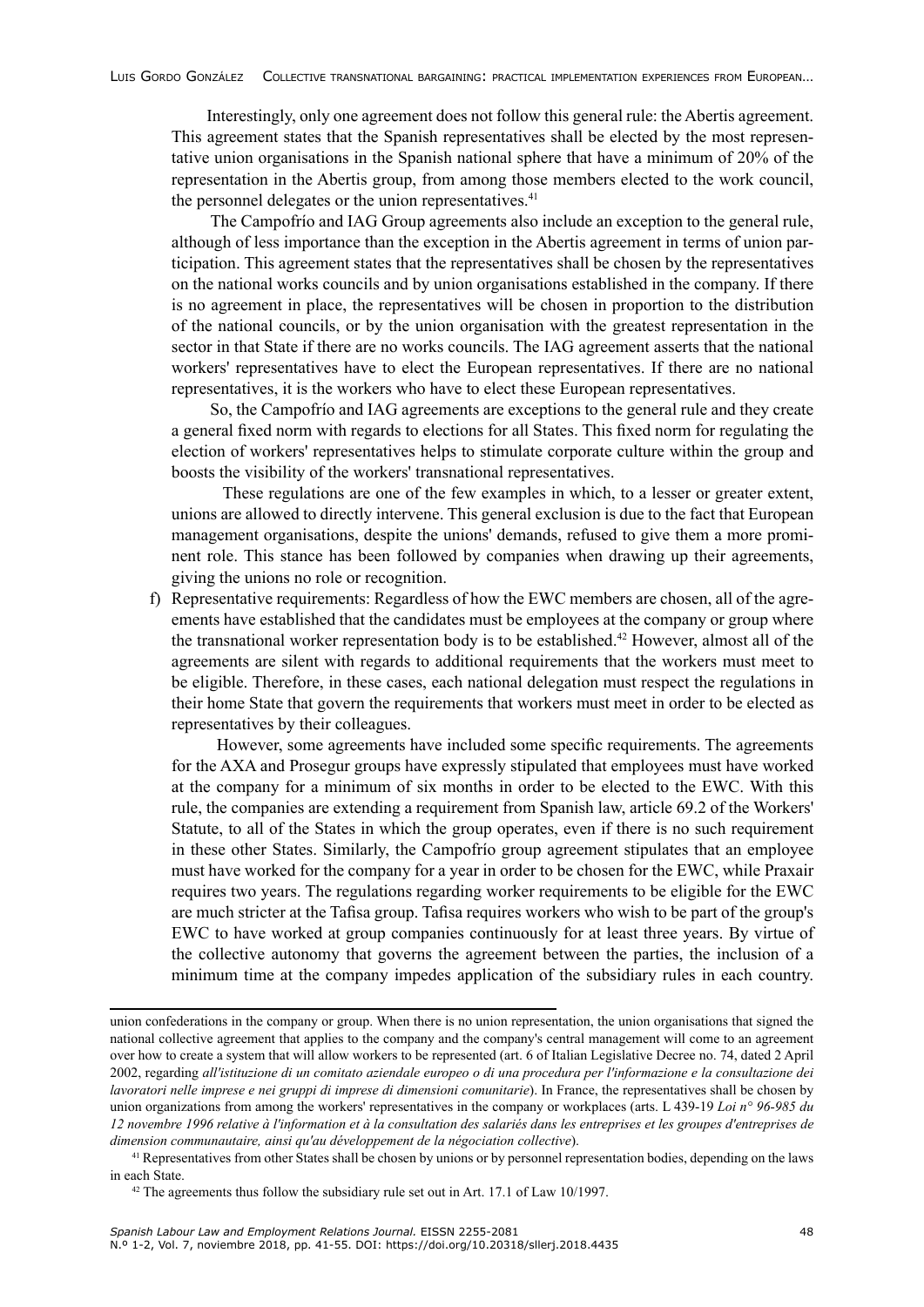Interestingly, only one agreement does not follow this general rule: the Abertis agreement. This agreement states that the Spanish representatives shall be elected by the most representative union organisations in the Spanish national sphere that have a minimum of 20% of the representation in the Abertis group, from among those members elected to the work council, the personnel delegates or the union representatives.<sup>41</sup>

 The Campofrío and IAG Group agreements also include an exception to the general rule, although of less importance than the exception in the Abertis agreement in terms of union participation. This agreement states that the representatives shall be chosen by the representatives on the national works councils and by union organisations established in the company. If there is no agreement in place, the representatives will be chosen in proportion to the distribution of the national councils, or by the union organisation with the greatest representation in the sector in that State if there are no works councils. The IAG agreement asserts that the national workers' representatives have to elect the European representatives. If there are no national representatives, it is the workers who have to elect these European representatives.

 So, the Campofrío and IAG agreements are exceptions to the general rule and they create a general fixed norm with regards to elections for all States. This fixed norm for regulating the election of workers' representatives helps to stimulate corporate culture within the group and boosts the visibility of the workers' transnational representatives.

 These regulations are one of the few examples in which, to a lesser or greater extent, unions are allowed to directly intervene. This general exclusion is due to the fact that European management organisations, despite the unions' demands, refused to give them a more prominent role. This stance has been followed by companies when drawing up their agreements, giving the unions no role or recognition.

f) Representative requirements: Regardless of how the EWC members are chosen, all of the agreements have established that the candidates must be employees at the company or group where the transnational worker representation body is to be established.<sup>42</sup> However, almost all of the agreements are silent with regards to additional requirements that the workers must meet to be eligible. Therefore, in these cases, each national delegation must respect the regulations in their home State that govern the requirements that workers must meet in order to be elected as representatives by their colleagues.

 However, some agreements have included some specific requirements. The agreements for the AXA and Prosegur groups have expressly stipulated that employees must have worked at the company for a minimum of six months in order to be elected to the EWC. With this rule, the companies are extending a requirement from Spanish law, article 69.2 of the Workers' Statute, to all of the States in which the group operates, even if there is no such requirement in these other States. Similarly, the Campofrío group agreement stipulates that an employee must have worked for the company for a year in order to be chosen for the EWC, while Praxair requires two years. The regulations regarding worker requirements to be eligible for the EWC are much stricter at the Tafisa group. Tafisa requires workers who wish to be part of the group's EWC to have worked at group companies continuously for at least three years. By virtue of the collective autonomy that governs the agreement between the parties, the inclusion of a minimum time at the company impedes application of the subsidiary rules in each country.

union confederations in the company or group. When there is no union representation, the union organisations that signed the national collective agreement that applies to the company and the company's central management will come to an agreement over how to create a system that will allow workers to be represented (art. 6 of Italian Legislative Decree no. 74, dated 2 April 2002, regarding *all'istituzione di un comitato aziendale europeo o di una procedura per l'informazione e la consultazione dei lavoratori nelle imprese e nei gruppi di imprese di dimensioni comunitarie*). In France, the representatives shall be chosen by union organizations from among the workers' representatives in the company or workplaces (arts. L 439-19 *Loi n° 96-985 du 12 novembre 1996 relative à l'information et à la consultation des salariés dans les entreprises et les groupes d'entreprises de dimension communautaire, ainsi qu'au développement de la négociation collective*).<br><sup>41</sup> Representatives from other States shall be chosen by unions or by personnel representation bodies, depending on the laws

in each State.

<sup>&</sup>lt;sup>42</sup> The agreements thus follow the subsidiary rule set out in Art. 17.1 of Law 10/1997.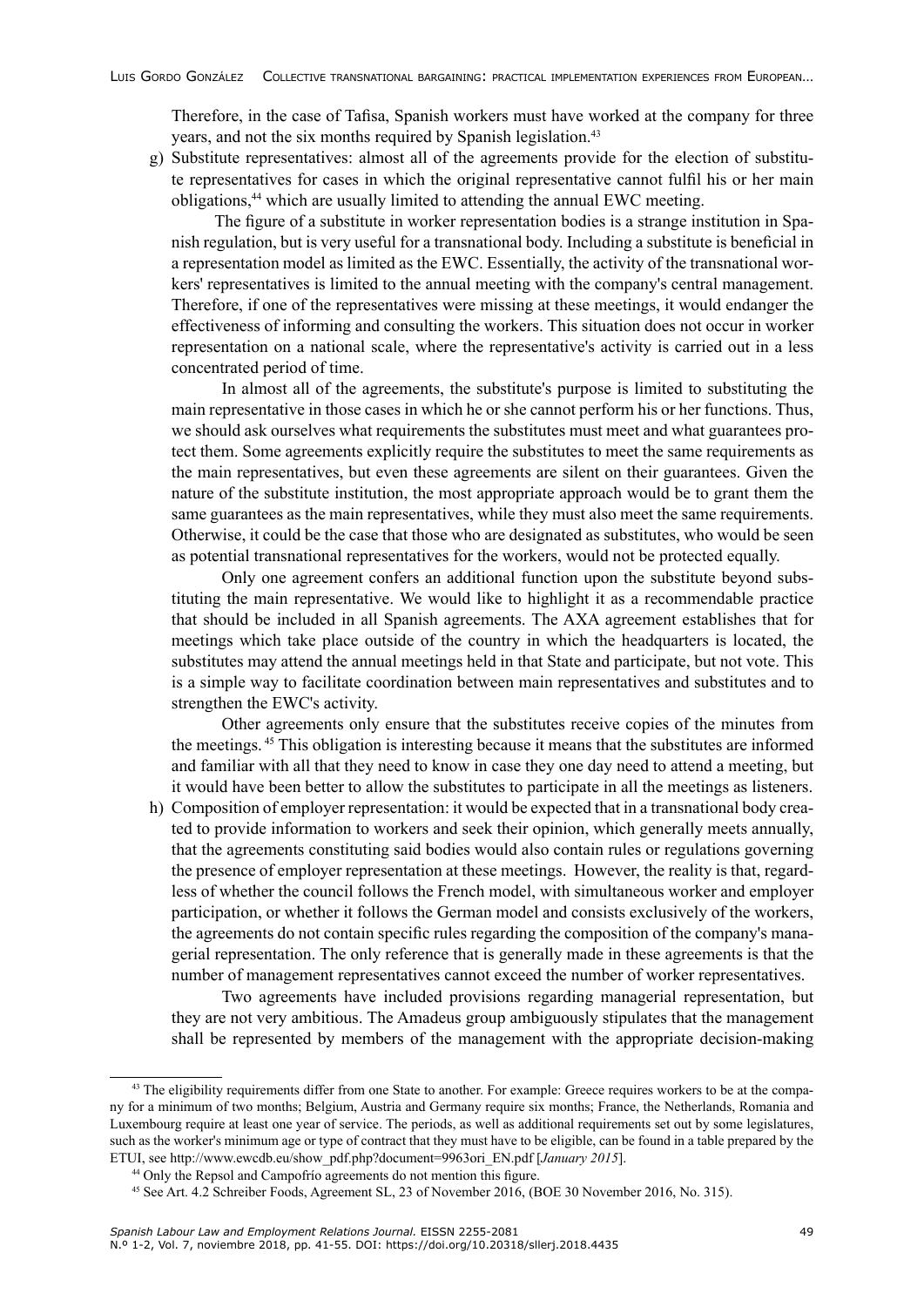Therefore, in the case of Tafisa, Spanish workers must have worked at the company for three years, and not the six months required by Spanish legislation.<sup>43</sup>

g) Substitute representatives: almost all of the agreements provide for the election of substitute representatives for cases in which the original representative cannot fulfil his or her main obligations,<sup>44</sup> which are usually limited to attending the annual EWC meeting.

 The figure of a substitute in worker representation bodies is a strange institution in Spanish regulation, but is very useful for a transnational body. Including a substitute is beneficial in a representation model as limited as the EWC. Essentially, the activity of the transnational workers' representatives is limited to the annual meeting with the company's central management. Therefore, if one of the representatives were missing at these meetings, it would endanger the effectiveness of informing and consulting the workers. This situation does not occur in worker representation on a national scale, where the representative's activity is carried out in a less concentrated period of time.

In almost all of the agreements, the substitute's purpose is limited to substituting the main representative in those cases in which he or she cannot perform his or her functions. Thus, we should ask ourselves what requirements the substitutes must meet and what guarantees protect them. Some agreements explicitly require the substitutes to meet the same requirements as the main representatives, but even these agreements are silent on their guarantees. Given the nature of the substitute institution, the most appropriate approach would be to grant them the same guarantees as the main representatives, while they must also meet the same requirements. Otherwise, it could be the case that those who are designated as substitutes, who would be seen as potential transnational representatives for the workers, would not be protected equally.

 Only one agreement confers an additional function upon the substitute beyond substituting the main representative. We would like to highlight it as a recommendable practice that should be included in all Spanish agreements. The AXA agreement establishes that for meetings which take place outside of the country in which the headquarters is located, the substitutes may attend the annual meetings held in that State and participate, but not vote. This is a simple way to facilitate coordination between main representatives and substitutes and to strengthen the EWC's activity.

 Other agreements only ensure that the substitutes receive copies of the minutes from the meetings. 45 This obligation is interesting because it means that the substitutes are informed and familiar with all that they need to know in case they one day need to attend a meeting, but it would have been better to allow the substitutes to participate in all the meetings as listeners.

h) Composition of employer representation: it would be expected that in a transnational body created to provide information to workers and seek their opinion, which generally meets annually, that the agreements constituting said bodies would also contain rules or regulations governing the presence of employer representation at these meetings. However, the reality is that, regardless of whether the council follows the French model, with simultaneous worker and employer participation, or whether it follows the German model and consists exclusively of the workers, the agreements do not contain specific rules regarding the composition of the company's managerial representation. The only reference that is generally made in these agreements is that the number of management representatives cannot exceed the number of worker representatives.

Two agreements have included provisions regarding managerial representation, but they are not very ambitious. The Amadeus group ambiguously stipulates that the management shall be represented by members of the management with the appropriate decision-making

<sup>&</sup>lt;sup>43</sup> The eligibility requirements differ from one State to another. For example: Greece requires workers to be at the company for a minimum of two months; Belgium, Austria and Germany require six months; France, the Netherlands, Romania and Luxembourg require at least one year of service. The periods, as well as additional requirements set out by some legislatures, such as the worker's minimum age or type of contract that they must have to be eligible, can be found in a table prepared by the ETUI, see http://www.ewcdb.eu/show\_pdf.php?document=9963ori\_EN.pdf [*January 2015*].

<sup>44</sup> Only the Repsol and Campofrío agreements do not mention this figure.

<sup>45</sup> See Art. 4.2 Schreiber Foods, Agreement SL, 23 of November 2016, (BOE 30 November 2016, No. 315).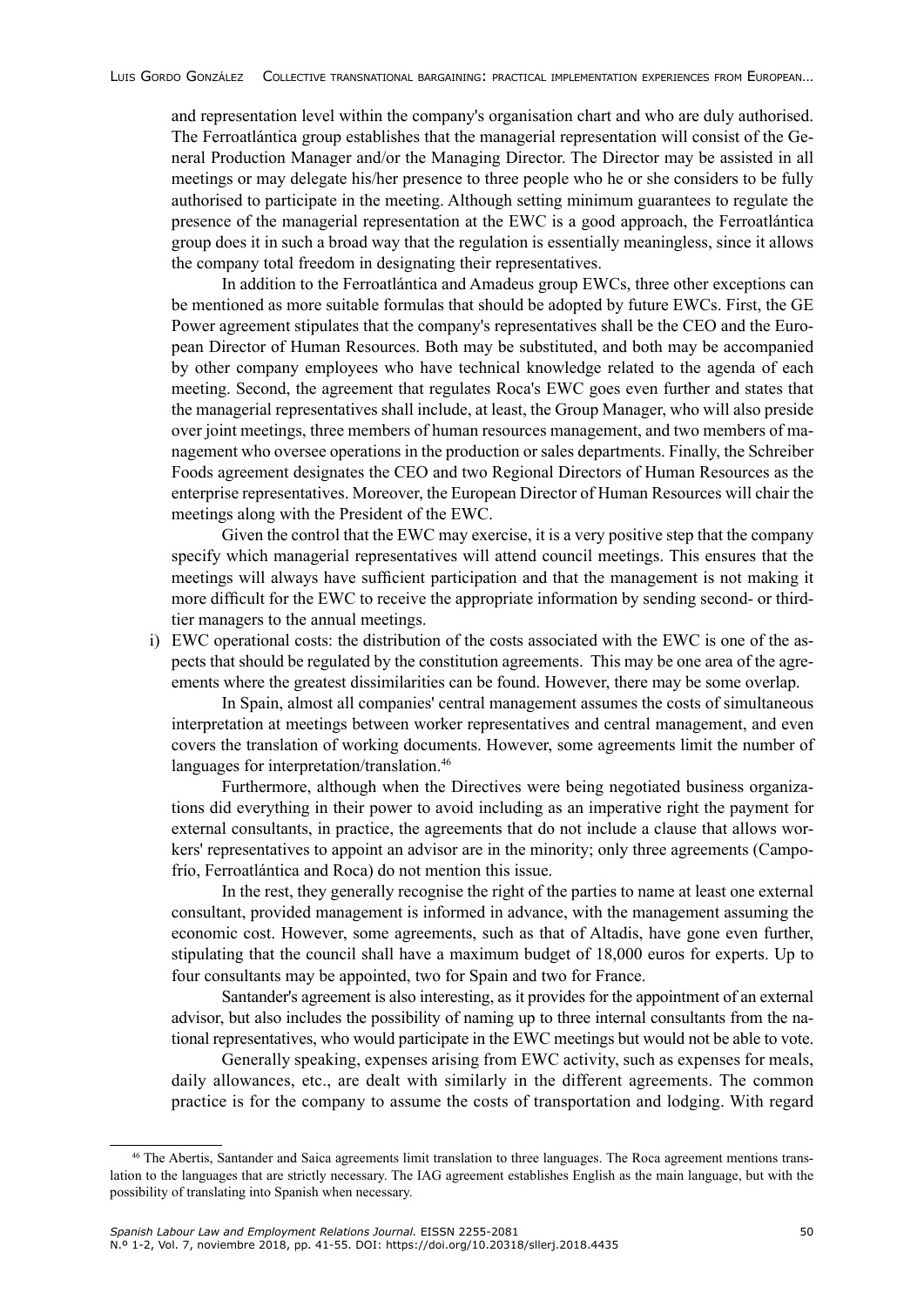and representation level within the company's organisation chart and who are duly authorised. The Ferroatlántica group establishes that the managerial representation will consist of the General Production Manager and/or the Managing Director. The Director may be assisted in all meetings or may delegate his/her presence to three people who he or she considers to be fully authorised to participate in the meeting. Although setting minimum guarantees to regulate the presence of the managerial representation at the EWC is a good approach, the Ferroatlántica group does it in such a broad way that the regulation is essentially meaningless, since it allows the company total freedom in designating their representatives.

In addition to the Ferroatlántica and Amadeus group EWCs, three other exceptions can be mentioned as more suitable formulas that should be adopted by future EWCs. First, the GE Power agreement stipulates that the company's representatives shall be the CEO and the European Director of Human Resources. Both may be substituted, and both may be accompanied by other company employees who have technical knowledge related to the agenda of each meeting. Second, the agreement that regulates Roca's EWC goes even further and states that the managerial representatives shall include, at least, the Group Manager, who will also preside over joint meetings, three members of human resources management, and two members of management who oversee operations in the production or sales departments. Finally, the Schreiber Foods agreement designates the CEO and two Regional Directors of Human Resources as the enterprise representatives. Moreover, the European Director of Human Resources will chair the meetings along with the President of the EWC.

Given the control that the EWC may exercise, it is a very positive step that the company specify which managerial representatives will attend council meetings. This ensures that the meetings will always have sufficient participation and that the management is not making it more difficult for the EWC to receive the appropriate information by sending second- or thirdtier managers to the annual meetings.

i) EWC operational costs: the distribution of the costs associated with the EWC is one of the aspects that should be regulated by the constitution agreements. This may be one area of the agreements where the greatest dissimilarities can be found. However, there may be some overlap.

In Spain, almost all companies' central management assumes the costs of simultaneous interpretation at meetings between worker representatives and central management, and even covers the translation of working documents. However, some agreements limit the number of languages for interpretation/translation.<sup>46</sup>

Furthermore, although when the Directives were being negotiated business organizations did everything in their power to avoid including as an imperative right the payment for external consultants, in practice, the agreements that do not include a clause that allows workers' representatives to appoint an advisor are in the minority; only three agreements (Campofrío, Ferroatlántica and Roca) do not mention this issue.

In the rest, they generally recognise the right of the parties to name at least one external consultant, provided management is informed in advance, with the management assuming the economic cost. However, some agreements, such as that of Altadis, have gone even further, stipulating that the council shall have a maximum budget of 18,000 euros for experts. Up to four consultants may be appointed, two for Spain and two for France.

Santander's agreement is also interesting, as it provides for the appointment of an external advisor, but also includes the possibility of naming up to three internal consultants from the national representatives, who would participate in the EWC meetings but would not be able to vote.

Generally speaking, expenses arising from EWC activity, such as expenses for meals, daily allowances, etc., are dealt with similarly in the different agreements. The common practice is for the company to assume the costs of transportation and lodging. With regard

<sup>46</sup> The Abertis, Santander and Saica agreements limit translation to three languages. The Roca agreement mentions translation to the languages that are strictly necessary. The IAG agreement establishes English as the main language, but with the possibility of translating into Spanish when necessary.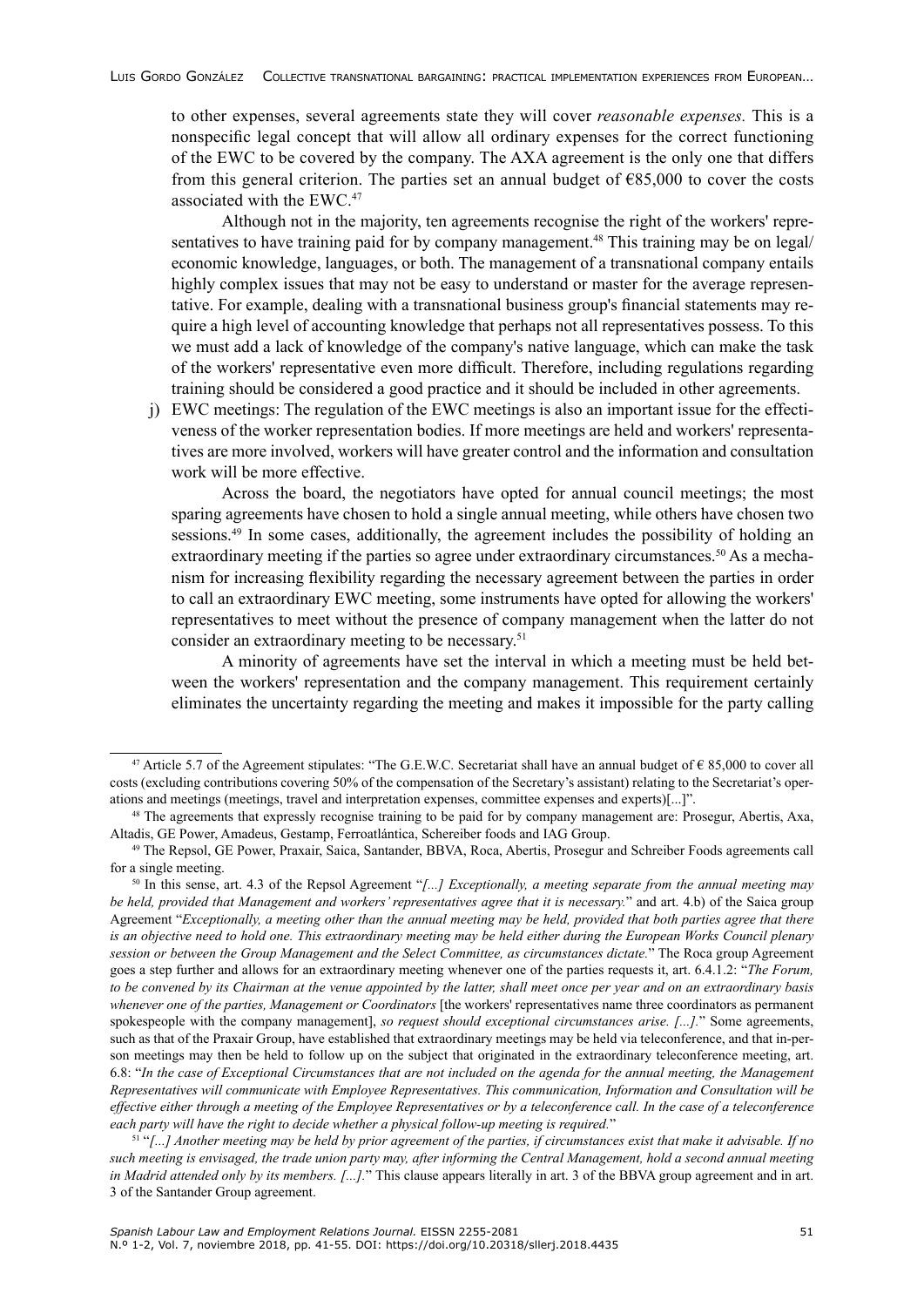to other expenses, several agreements state they will cover *reasonable expenses.* This is a nonspecific legal concept that will allow all ordinary expenses for the correct functioning of the EWC to be covered by the company. The AXA agreement is the only one that differs from this general criterion. The parties set an annual budget of  $685,000$  to cover the costs associated with the EWC.<sup>47</sup>

Although not in the majority, ten agreements recognise the right of the workers' representatives to have training paid for by company management.<sup>48</sup> This training may be on legal/ economic knowledge, languages, or both. The management of a transnational company entails highly complex issues that may not be easy to understand or master for the average representative. For example, dealing with a transnational business group's financial statements may require a high level of accounting knowledge that perhaps not all representatives possess. To this we must add a lack of knowledge of the company's native language, which can make the task of the workers' representative even more difficult. Therefore, including regulations regarding training should be considered a good practice and it should be included in other agreements.

j) EWC meetings: The regulation of the EWC meetings is also an important issue for the effectiveness of the worker representation bodies. If more meetings are held and workers' representatives are more involved, workers will have greater control and the information and consultation work will be more effective.

Across the board, the negotiators have opted for annual council meetings; the most sparing agreements have chosen to hold a single annual meeting, while others have chosen two sessions.<sup>49</sup> In some cases, additionally, the agreement includes the possibility of holding an extraordinary meeting if the parties so agree under extraordinary circumstances.<sup>50</sup> As a mechanism for increasing flexibility regarding the necessary agreement between the parties in order to call an extraordinary EWC meeting, some instruments have opted for allowing the workers' representatives to meet without the presence of company management when the latter do not consider an extraordinary meeting to be necessary.<sup>51</sup>

A minority of agreements have set the interval in which a meeting must be held between the workers' representation and the company management. This requirement certainly eliminates the uncertainty regarding the meeting and makes it impossible for the party calling

<sup>51</sup> "*[...] Another meeting may be held by prior agreement of the parties, if circumstances exist that make it advisable. If no such meeting is envisaged, the trade union party may, after informing the Central Management, hold a second annual meeting in Madrid attended only by its members. [...].*" This clause appears literally in art. 3 of the BBVA group agreement and in art. 3 of the Santander Group agreement.

<sup>&</sup>lt;sup>47</sup> Article 5.7 of the Agreement stipulates: "The G.E.W.C. Secretariat shall have an annual budget of  $\epsilon$  85,000 to cover all costs (excluding contributions covering 50% of the compensation of the Secretary's assistant) relating to the Secretariat's operations and meetings (meetings, travel and interpretation expenses, committee expenses and experts)[...]".

<sup>48</sup> The agreements that expressly recognise training to be paid for by company management are: Prosegur, Abertis, Axa, Altadis, GE Power, Amadeus, Gestamp, Ferroatlántica, Schereiber foods and IAG Group.

<sup>49</sup> The Repsol, GE Power, Praxair, Saica, Santander, BBVA, Roca, Abertis, Prosegur and Schreiber Foods agreements call for a single meeting.

<sup>50</sup> In this sense, art. 4.3 of the Repsol Agreement "*[...] Exceptionally, a meeting separate from the annual meeting may be held, provided that Management and workers' representatives agree that it is necessary.*" and art. 4.b) of the Saica group Agreement "*Exceptionally, a meeting other than the annual meeting may be held, provided that both parties agree that there is an objective need to hold one. This extraordinary meeting may be held either during the European Works Council plenary session or between the Group Management and the Select Committee, as circumstances dictate.*" The Roca group Agreement goes a step further and allows for an extraordinary meeting whenever one of the parties requests it, art. 6.4.1.2: "*The Forum, to be convened by its Chairman at the venue appointed by the latter, shall meet once per year and on an extraordinary basis whenever one of the parties, Management or Coordinators* [the workers' representatives name three coordinators as permanent spokespeople with the company management], *so request should exceptional circumstances arise. [...].*" Some agreements, such as that of the Praxair Group, have established that extraordinary meetings may be held via teleconference, and that in-person meetings may then be held to follow up on the subject that originated in the extraordinary teleconference meeting, art. 6.8: "*In the case of Exceptional Circumstances that are not included on the agenda for the annual meeting, the Management Representatives will communicate with Employee Representatives. This communication, Information and Consultation will be effective either through a meeting of the Employee Representatives or by a teleconference call. In the case of a teleconference each party will have the right to decide whether a physical follow-up meeting is required.*"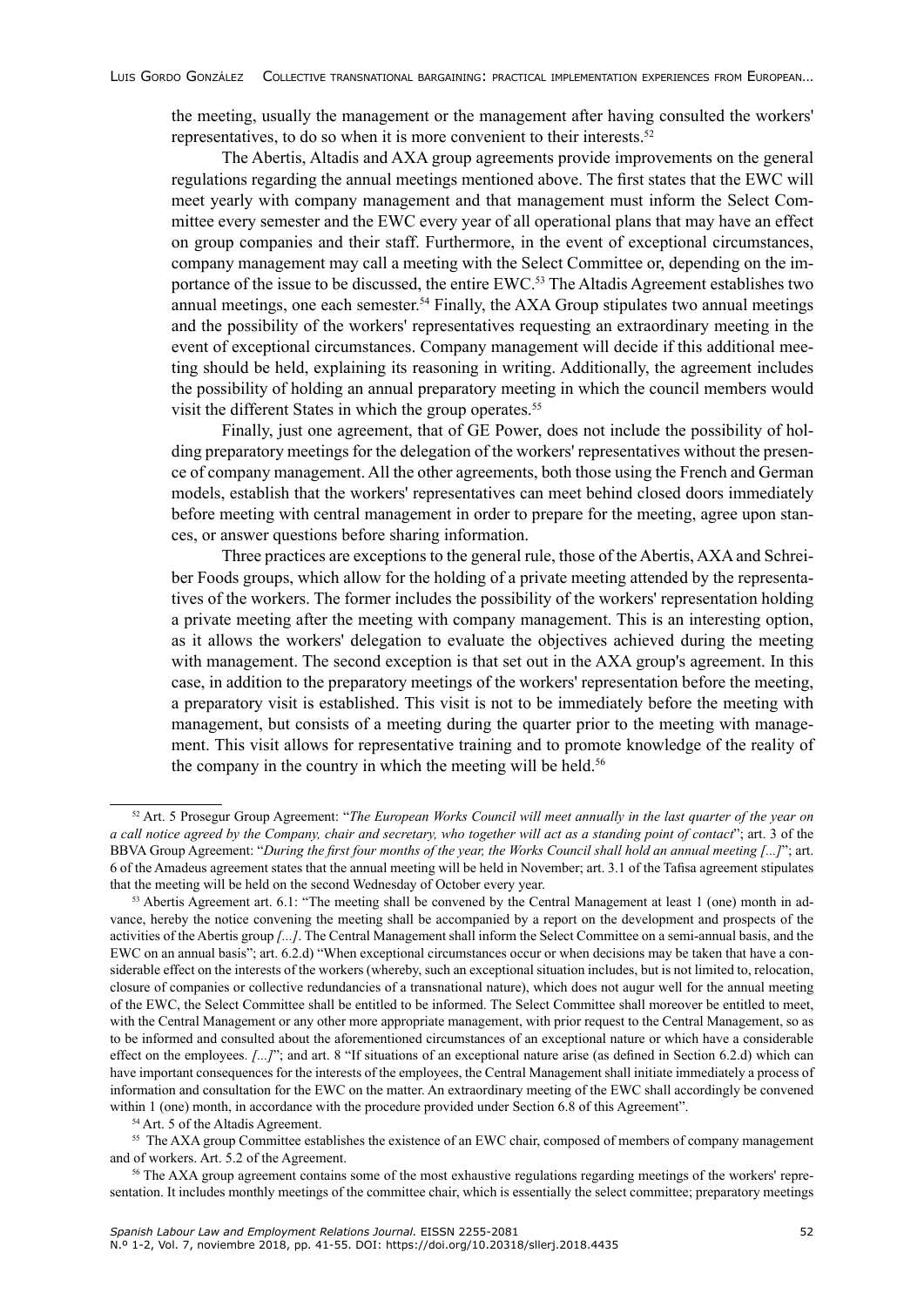the meeting, usually the management or the management after having consulted the workers' representatives, to do so when it is more convenient to their interests.<sup>52</sup>

The Abertis, Altadis and AXA group agreements provide improvements on the general regulations regarding the annual meetings mentioned above. The first states that the EWC will meet yearly with company management and that management must inform the Select Committee every semester and the EWC every year of all operational plans that may have an effect on group companies and their staff. Furthermore, in the event of exceptional circumstances, company management may call a meeting with the Select Committee or, depending on the importance of the issue to be discussed, the entire EWC.<sup>53</sup> The Altadis Agreement establishes two annual meetings, one each semester.<sup>54</sup> Finally, the AXA Group stipulates two annual meetings and the possibility of the workers' representatives requesting an extraordinary meeting in the event of exceptional circumstances. Company management will decide if this additional meeting should be held, explaining its reasoning in writing. Additionally, the agreement includes the possibility of holding an annual preparatory meeting in which the council members would visit the different States in which the group operates.<sup>55</sup>

Finally, just one agreement, that of GE Power, does not include the possibility of holding preparatory meetings for the delegation of the workers' representatives without the presence of company management. All the other agreements, both those using the French and German models, establish that the workers' representatives can meet behind closed doors immediately before meeting with central management in order to prepare for the meeting, agree upon stances, or answer questions before sharing information.

Three practices are exceptions to the general rule, those of the Abertis, AXA and Schreiber Foods groups, which allow for the holding of a private meeting attended by the representatives of the workers. The former includes the possibility of the workers' representation holding a private meeting after the meeting with company management. This is an interesting option, as it allows the workers' delegation to evaluate the objectives achieved during the meeting with management. The second exception is that set out in the AXA group's agreement. In this case, in addition to the preparatory meetings of the workers' representation before the meeting, a preparatory visit is established. This visit is not to be immediately before the meeting with management, but consists of a meeting during the quarter prior to the meeting with management. This visit allows for representative training and to promote knowledge of the reality of the company in the country in which the meeting will be held.<sup>56</sup>

<sup>52</sup> Art. 5 Prosegur Group Agreement: "*The European Works Council will meet annually in the last quarter of the year on a call notice agreed by the Company, chair and secretary, who together will act as a standing point of contact*"; art. 3 of the BBVA Group Agreement: "*During the first four months of the year, the Works Council shall hold an annual meeting [...]*"; art. 6 of the Amadeus agreement states that the annual meeting will be held in November; art. 3.1 of the Tafisa agreement stipulates that the meeting will be held on the second Wednesday of October every year.

 $53$  Abertis Agreement art. 6.1: "The meeting shall be convened by the Central Management at least 1 (one) month in advance, hereby the notice convening the meeting shall be accompanied by a report on the development and prospects of the activities of the Abertis group *[...]*. The Central Management shall inform the Select Committee on a semi-annual basis, and the EWC on an annual basis"; art. 6.2.d) "When exceptional circumstances occur or when decisions may be taken that have a considerable effect on the interests of the workers (whereby, such an exceptional situation includes, but is not limited to, relocation, closure of companies or collective redundancies of a transnational nature), which does not augur well for the annual meeting of the EWC, the Select Committee shall be entitled to be informed. The Select Committee shall moreover be entitled to meet, with the Central Management or any other more appropriate management, with prior request to the Central Management, so as to be informed and consulted about the aforementioned circumstances of an exceptional nature or which have a considerable effect on the employees. [...]"; and art. 8 "If situations of an exceptional nature arise (as defined in Section 6.2.d) which can have important consequences for the interests of the employees, the Central Management shall initiate immediately a process of information and consultation for the EWC on the matter. An extraordinary meeting of the EWC shall accordingly be convened within 1 (one) month, in accordance with the procedure provided under Section 6.8 of this Agreement".

<sup>54</sup> Art. 5 of the Altadis Agreement.

<sup>&</sup>lt;sup>55</sup> The AXA group Committee establishes the existence of an EWC chair, composed of members of company management and of workers. Art. 5.2 of the Agreement.

<sup>&</sup>lt;sup>56</sup> The AXA group agreement contains some of the most exhaustive regulations regarding meetings of the workers' representation. It includes monthly meetings of the committee chair, which is essentially the select committee; preparatory meetings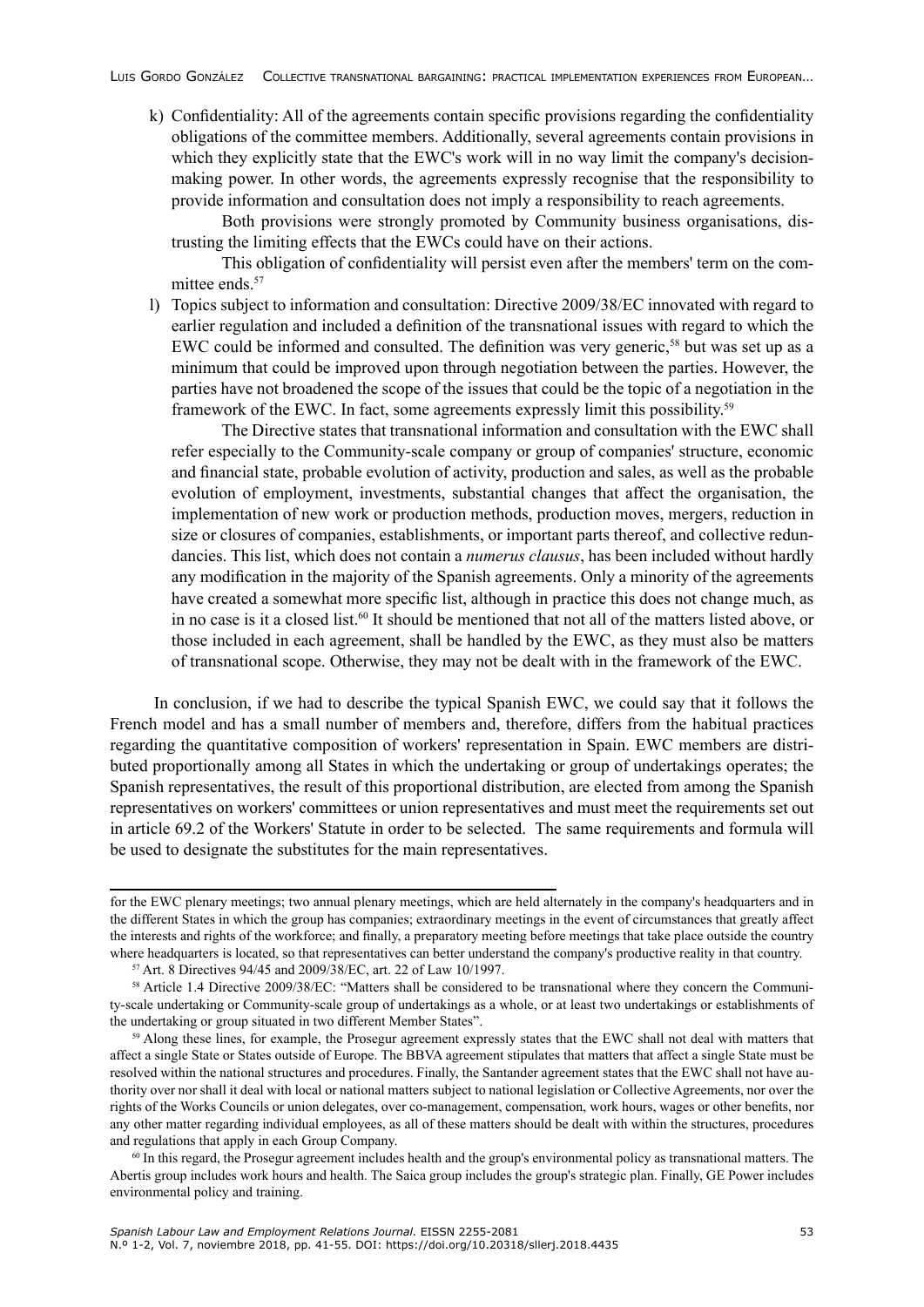k) Confidentiality: All of the agreements contain specific provisions regarding the confidentiality obligations of the committee members. Additionally, several agreements contain provisions in which they explicitly state that the EWC's work will in no way limit the company's decisionmaking power. In other words, the agreements expressly recognise that the responsibility to provide information and consultation does not imply a responsibility to reach agreements.

Both provisions were strongly promoted by Community business organisations, distrusting the limiting effects that the EWCs could have on their actions.

This obligation of confidentiality will persist even after the members' term on the committee ends.<sup>57</sup>

l) Topics subject to information and consultation: Directive 2009/38/EC innovated with regard to earlier regulation and included a definition of the transnational issues with regard to which the EWC could be informed and consulted. The definition was very generic,<sup>58</sup> but was set up as a minimum that could be improved upon through negotiation between the parties. However, the parties have not broadened the scope of the issues that could be the topic of a negotiation in the framework of the EWC. In fact, some agreements expressly limit this possibility.<sup>59</sup>

 The Directive states that transnational information and consultation with the EWC shall refer especially to the Community-scale company or group of companies' structure, economic and financial state, probable evolution of activity, production and sales, as well as the probable evolution of employment, investments, substantial changes that affect the organisation, the implementation of new work or production methods, production moves, mergers, reduction in size or closures of companies, establishments, or important parts thereof, and collective redundancies. This list, which does not contain a *numerus clausus*, has been included without hardly any modification in the majority of the Spanish agreements. Only a minority of the agreements have created a somewhat more specific list, although in practice this does not change much, as in no case is it a closed list.<sup>60</sup> It should be mentioned that not all of the matters listed above, or those included in each agreement, shall be handled by the EWC, as they must also be matters of transnational scope. Otherwise, they may not be dealt with in the framework of the EWC.

In conclusion, if we had to describe the typical Spanish EWC, we could say that it follows the French model and has a small number of members and, therefore, differs from the habitual practices regarding the quantitative composition of workers' representation in Spain. EWC members are distributed proportionally among all States in which the undertaking or group of undertakings operates; the Spanish representatives, the result of this proportional distribution, are elected from among the Spanish representatives on workers' committees or union representatives and must meet the requirements set out in article 69.2 of the Workers' Statute in order to be selected. The same requirements and formula will be used to designate the substitutes for the main representatives.

for the EWC plenary meetings; two annual plenary meetings, which are held alternately in the company's headquarters and in the different States in which the group has companies; extraordinary meetings in the event of circumstances that greatly affect the interests and rights of the workforce; and finally, a preparatory meeting before meetings that take place outside the country where headquarters is located, so that representatives can better understand the company's productive reality in that country.

<sup>57</sup> Art. 8 Directives 94/45 and 2009/38/EC, art. 22 of Law 10/1997.

<sup>58</sup> Article 1.4 Directive 2009/38/EC: "Matters shall be considered to be transnational where they concern the Community-scale undertaking or Community-scale group of undertakings as a whole, or at least two undertakings or establishments of the undertaking or group situated in two different Member States".

<sup>&</sup>lt;sup>59</sup> Along these lines, for example, the Prosegur agreement expressly states that the EWC shall not deal with matters that affect a single State or States outside of Europe. The BBVA agreement stipulates that matters that affect a single State must be resolved within the national structures and procedures. Finally, the Santander agreement states that the EWC shall not have authority over nor shall it deal with local or national matters subject to national legislation or Collective Agreements, nor over the rights of the Works Councils or union delegates, over co-management, compensation, work hours, wages or other benefits, nor any other matter regarding individual employees, as all of these matters should be dealt with within the structures, procedures and regulations that apply in each Group Company.

 $60$  In this regard, the Prosegur agreement includes health and the group's environmental policy as transnational matters. The Abertis group includes work hours and health. The Saica group includes the group's strategic plan. Finally, GE Power includes environmental policy and training.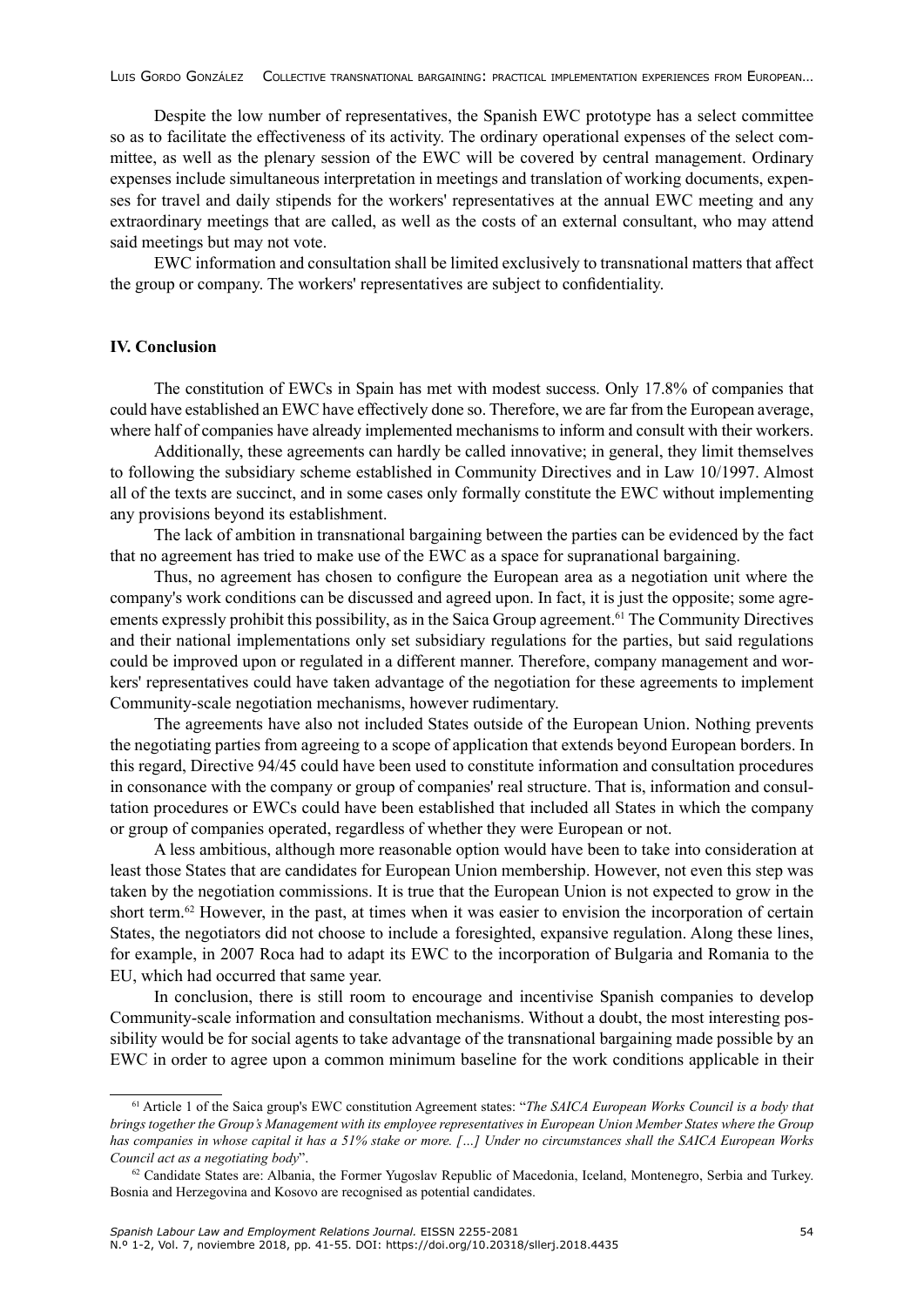Despite the low number of representatives, the Spanish EWC prototype has a select committee so as to facilitate the effectiveness of its activity. The ordinary operational expenses of the select committee, as well as the plenary session of the EWC will be covered by central management. Ordinary expenses include simultaneous interpretation in meetings and translation of working documents, expenses for travel and daily stipends for the workers' representatives at the annual EWC meeting and any extraordinary meetings that are called, as well as the costs of an external consultant, who may attend said meetings but may not vote.

EWC information and consultation shall be limited exclusively to transnational matters that affect the group or company. The workers' representatives are subject to confidentiality.

### **IV. Conclusion**

The constitution of EWCs in Spain has met with modest success. Only 17.8% of companies that could have established an EWC have effectively done so. Therefore, we are far from the European average, where half of companies have already implemented mechanisms to inform and consult with their workers.

Additionally, these agreements can hardly be called innovative; in general, they limit themselves to following the subsidiary scheme established in Community Directives and in Law 10/1997. Almost all of the texts are succinct, and in some cases only formally constitute the EWC without implementing any provisions beyond its establishment.

The lack of ambition in transnational bargaining between the parties can be evidenced by the fact that no agreement has tried to make use of the EWC as a space for supranational bargaining.

Thus, no agreement has chosen to configure the European area as a negotiation unit where the company's work conditions can be discussed and agreed upon. In fact, it is just the opposite; some agreements expressly prohibit this possibility, as in the Saica Group agreement.61 The Community Directives and their national implementations only set subsidiary regulations for the parties, but said regulations could be improved upon or regulated in a different manner. Therefore, company management and workers' representatives could have taken advantage of the negotiation for these agreements to implement Community-scale negotiation mechanisms, however rudimentary.

The agreements have also not included States outside of the European Union. Nothing prevents the negotiating parties from agreeing to a scope of application that extends beyond European borders. In this regard, Directive 94/45 could have been used to constitute information and consultation procedures in consonance with the company or group of companies' real structure. That is, information and consultation procedures or EWCs could have been established that included all States in which the company or group of companies operated, regardless of whether they were European or not.

A less ambitious, although more reasonable option would have been to take into consideration at least those States that are candidates for European Union membership. However, not even this step was taken by the negotiation commissions. It is true that the European Union is not expected to grow in the short term.62 However, in the past, at times when it was easier to envision the incorporation of certain States, the negotiators did not choose to include a foresighted, expansive regulation. Along these lines, for example, in 2007 Roca had to adapt its EWC to the incorporation of Bulgaria and Romania to the EU, which had occurred that same year.

In conclusion, there is still room to encourage and incentivise Spanish companies to develop Community-scale information and consultation mechanisms. Without a doubt, the most interesting possibility would be for social agents to take advantage of the transnational bargaining made possible by an EWC in order to agree upon a common minimum baseline for the work conditions applicable in their

<sup>61</sup> Article 1 of the Saica group's EWC constitution Agreement states: "*The SAICA European Works Council is a body that brings together the Group's Management with its employee representatives in European Union Member States where the Group has companies in whose capital it has a 51% stake or more. […] Under no circumstances shall the SAICA European Works Council act as a negotiating body*".

 $62$  Candidate States are: Albania, the Former Yugoslav Republic of Macedonia, Iceland, Montenegro, Serbia and Turkey. Bosnia and Herzegovina and Kosovo are recognised as potential candidates.